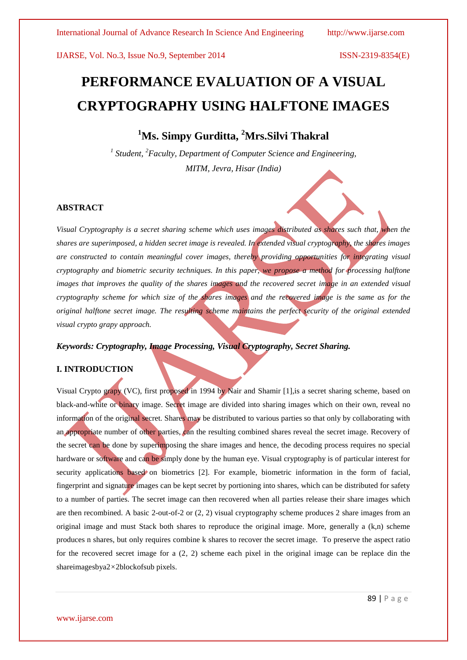# **PERFORMANCE EVALUATION OF A VISUAL CRYPTOGRAPHY USING HALFTONE IMAGES**

## **<sup>1</sup>Ms. Simpy Gurditta, <sup>2</sup>Mrs.Silvi Thakral**

<sup>1</sup> Student, <sup>2</sup> Faculty, Department of Computer Science and Engineering, *MITM, Jevra, Hisar (India)*

### **ABSTRACT**

*Visual Cryptography is a secret sharing scheme which uses images distributed as shares such that, when the shares are superimposed, a hidden secret image is revealed. In extended visual cryptography, the shares images are constructed to contain meaningful cover images, thereby providing opportunities for integrating visual cryptography and biometric security techniques. In this paper, we propose a method for processing halftone images that improves the quality of the shares images and the recovered secret image in an extended visual cryptography scheme for which size of the shares images and the recovered image is the same as for the original halftone secret image. The resulting scheme maintains the perfect security of the original extended visual crypto grapy approach.*

#### *Keywords: Cryptography, Image Processing, Visual Cryptography, Secret Sharing.*

### **I. INTRODUCTION**

Visual Crypto grapy (VC), first proposed in 1994 by Nair and Shamir [1],is a secret sharing scheme, based on black-and-white or binary image. Secret image are divided into sharing images which on their own, reveal no information of the original secret. Shares may be distributed to various parties so that only by collaborating with an appropriate number of other parties, can the resulting combined shares reveal the secret image. Recovery of the secret can be done by superimposing the share images and hence, the decoding process requires no special hardware or software and can be simply done by the human eye. Visual cryptography is of particular interest for security applications based on biometrics [2]. For example, biometric information in the form of facial, fingerprint and signature images can be kept secret by portioning into shares, which can be distributed for safety to a number of parties. The secret image can then recovered when all parties release their share images which are then recombined. A basic 2-out-of-2 or (2, 2) visual cryptography scheme produces 2 share images from an original image and must Stack both shares to reproduce the original image. More, generally a (k,n) scheme produces n shares, but only requires combine k shares to recover the secret image. To preserve the aspect ratio for the recovered secret image for a (2*,* 2) scheme each pixel in the original image can be replace din the shareimagesbya2*×*2blockofsub pixels.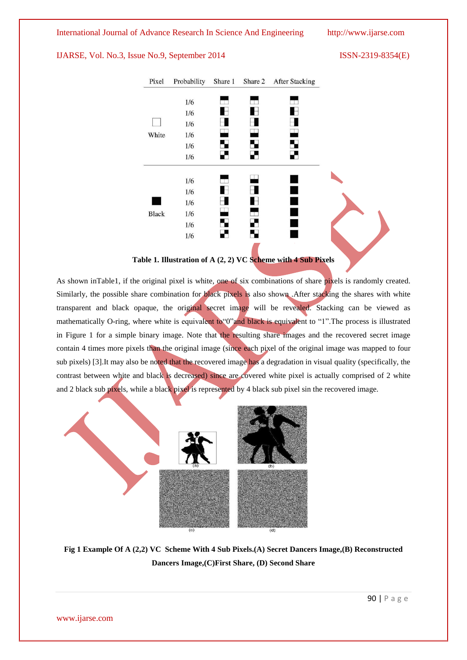



As shown inTable1, if the original pixel is white, one of six combinations of share pixels is randomly created. Similarly, the possible share combination for black pixels is also shown .After stacking the shares with white transparent and black opaque, the original secret image will be revealed. Stacking can be viewed as mathematically O-ring, where white is equivalent to "0"and black is equivalent to "1". The process is illustrated in Figure 1 for a simple binary image. Note that the resulting share images and the recovered secret image contain 4 times more pixels than the original image (since each pixel of the original image was mapped to four sub pixels) [3].It may also be noted that the recovered image has a degradation in visual quality (specifically, the contrast between white and black is decreased) since are covered white pixel is actually comprised of 2 white and 2 black sub pixels, while a black pixel is represented by 4 black sub pixel sin the recovered image.



**Fig 1 Example Of A (2,2) VC Scheme With 4 Sub Pixels.(A) Secret Dancers Image,(B) Reconstructed Dancers Image,(C)First Share, (D) Second Share**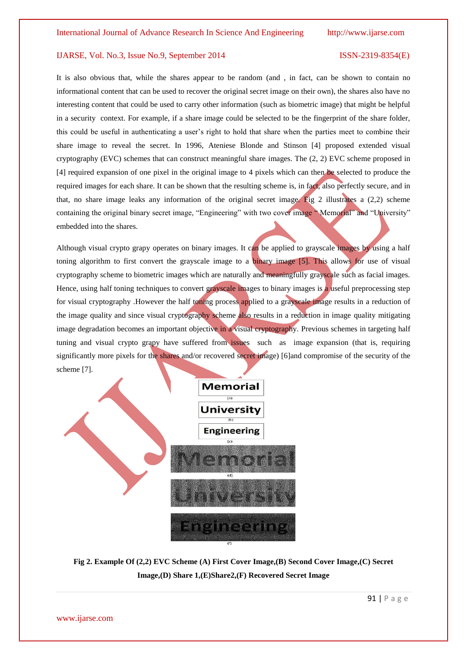It is also obvious that, while the shares appear to be random (and , in fact, can be shown to contain no informational content that can be used to recover the original secret image on their own), the shares also have no interesting content that could be used to carry other information (such as biometric image) that might be helpful in a security context. For example, if a share image could be selected to be the fingerprint of the share folder, this could be useful in authenticating a user's right to hold that share when the parties meet to combine their share image to reveal the secret. In 1996, Ateniese Blonde and Stinson [4] proposed extended visual cryptography (EVC) schemes that can construct meaningful share images. The (2, 2) EVC scheme proposed in [4] required expansion of one pixel in the original image to 4 pixels which can then be selected to produce the required images for each share. It can be shown that the resulting scheme is, in fact, also perfectly secure, and in that, no share image leaks any information of the original secret image. Fig 2 illustrates a  $(2,2)$  scheme containing the original binary secret image, "Engineering" with two cover image " Memorial" and "University" embedded into the shares.

Although visual crypto grapy operates on binary images. It can be applied to grayscale images by using a half toning algorithm to first convert the grayscale image to a binary image [5]. This allows for use of visual cryptography scheme to biometric images which are naturally and meaningfully grayscale such as facial images. Hence, using half toning techniques to convert grayscale images to binary images is a useful preprocessing step for visual cryptography .However the half toning process applied to a grayscale image results in a reduction of the image quality and since visual cryptography scheme also results in a reduction in image quality mitigating image degradation becomes an important objective in a visual cryptography. Previous schemes in targeting half tuning and visual crypto grapy have suffered from issues such as image expansion (that is, requiring significantly more pixels for the shares and/or recovered secret image) [6]and compromise of the security of the scheme [7].



**Fig 2. Example Of (2,2) EVC Scheme (A) First Cover Image,(B) Second Cover Image,(C) Secret Image,(D) Share 1,(E)Share2,(F) Recovered Secret Image**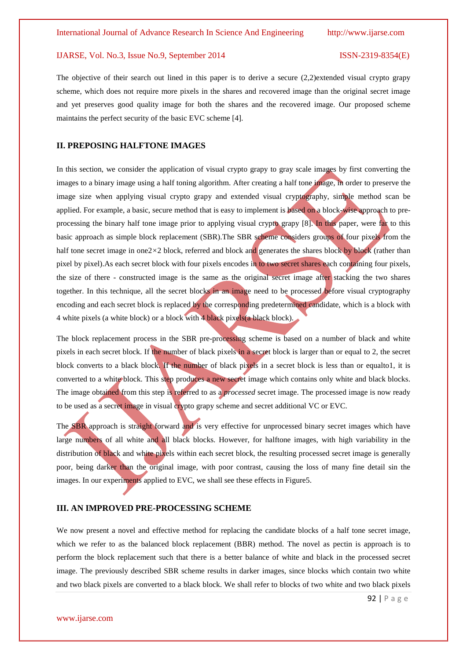The objective of their search out lined in this paper is to derive a secure (2*,*2)extended visual crypto grapy scheme, which does not require more pixels in the shares and recovered image than the original secret image and yet preserves good quality image for both the shares and the recovered image. Our proposed scheme maintains the perfect security of the basic EVC scheme [4].

#### **II. PREPOSING HALFTONE IMAGES**

In this section, we consider the application of visual crypto grapy to gray scale images by first converting the images to a binary image using a half toning algorithm. After creating a half tone image, in order to preserve the image size when applying visual crypto grapy and extended visual cryptography, simple method scan be applied. For example, a basic, secure method that is easy to implement is based on a block-wise approach to preprocessing the binary half tone image prior to applying visual crypto grapy [8]. In this paper, were far to this basic approach as simple block replacement (SBR).The SBR scheme considers groups of four pixels from the half tone secret image in one2×2 block, referred and block and generates the shares block by block (rather than pixel by pixel).As each secret block with four pixels encodes in to two secret shares each containing four pixels, the size of there - constructed image is the same as the original secret image after stacking the two shares together. In this technique, all the secret blocks in an image need to be processed before visual cryptography encoding and each secret block is replaced by the corresponding predetermined candidate, which is a block with 4 white pixels (a white block) or a block with 4 black pixels(a black block).

The block replacement process in the SBR pre-processing scheme is based on a number of black and white pixels in each secret block. If the number of black pixels in a secret block is larger than or equal to 2, the secret block converts to a black block. If the number of black pixels in a secret block is less than or equalto1, it is converted to a white block. This step produces a new secret image which contains only white and black blocks. The image obtained from this step is referred to as a *processed* secret image. The processed image is now ready to be used as a secret image in visual crypto grapy scheme and secret additional VC or EVC.

The SBR approach is straight forward and is very effective for unprocessed binary secret images which have large numbers of all white and all black blocks. However, for halftone images, with high variability in the distribution of black and white pixels within each secret block, the resulting processed secret image is generally poor, being darker than the original image, with poor contrast, causing the loss of many fine detail sin the images. In our experiments applied to EVC, we shall see these effects in Figure5.

#### **III. AN IMPROVED PRE-PROCESSING SCHEME**

We now present a novel and effective method for replacing the candidate blocks of a half tone secret image, which we refer to as the balanced block replacement (BBR) method. The novel as pectin is approach is to perform the block replacement such that there is a better balance of white and black in the processed secret image. The previously described SBR scheme results in darker images, since blocks which contain two white and two black pixels are converted to a black block. We shall refer to blocks of two white and two black pixels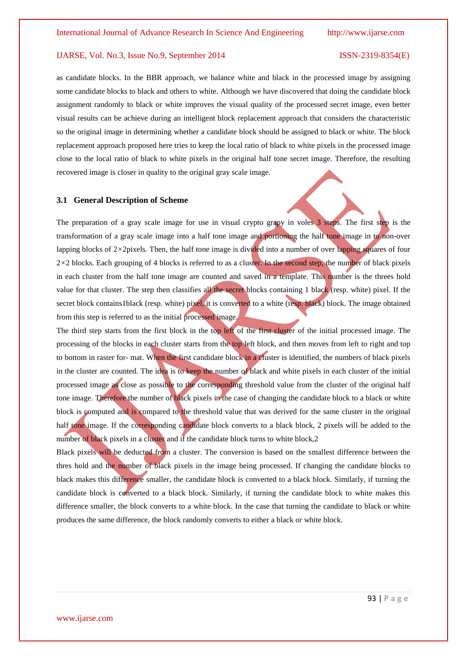as candidate blocks. In the BBR approach, we balance white and black in the processed image by assigning some candidate blocks to black and others to white. Although we have discovered that doing the candidate block assignment randomly to black or white improves the visual quality of the processed secret image, even better visual results can be achieve during an intelligent block replacement approach that considers the characteristic so the original image in determining whether a candidate block should be assigned to black or white. The block replacement approach proposed here tries to keep the local ratio of black to white pixels in the processed image close to the local ratio of black to white pixels in the original half tone secret image. Therefore, the resulting recovered image is closer in quality to the original gray scale image.

#### **3.1 General Description of Scheme**

The preparation of a gray scale image for use in visual crypto grapy in voles 3 steps. The first step is the transformation of a gray scale image into a half tone image and portioning the half tone image in to non-over lapping blocks of 2*×*2pixels. Then, the half tone image is divided into a number of over lapping squares of four 2*×*2 blocks. Each grouping of 4 blocks is referred to as a cluster. In the second step, the number of black pixels in each cluster from the half tone image are counted and saved in a template. This number is the threes hold value for that cluster. The step then classifies all the secret blocks containing 1 black (resp. white) pixel. If the secret block contains1black (resp. white) pixel, it is converted to a white (resp. black) block. The image obtained from this step is referred to as the initial processed image.

The third step starts from the first block in the top left of the first cluster of the initial processed image. The processing of the blocks in each cluster starts from the top left block, and then moves from left to right and top to bottom in raster for- mat. When the first candidate block in a cluster is identified, the numbers of black pixels in the cluster are counted. The idea is to keep the number of black and white pixels in each cluster of the initial processed image as close as possible to the corresponding threshold value from the cluster of the original half tone image. Therefore the number of black pixels in the case of changing the candidate block to a black or white block is computed and is compared to the threshold value that was derived for the same cluster in the original half tone image. If the corresponding candidate block converts to a black block, 2 pixels will be added to the number of black pixels in a cluster and if the candidate block turns to white block,2

Black pixels will be deducted from a cluster. The conversion is based on the smallest difference between the thres hold and the number of black pixels in the image being processed. If changing the candidate blocks to black makes this difference smaller, the candidate block is converted to a black block. Similarly, if turning the candidate block is converted to a black block. Similarly, if turning the candidate block to white makes this difference smaller, the block converts to a white block. In the case that turning the candidate to black or white produces the same difference, the block randomly converts to either a black or white block.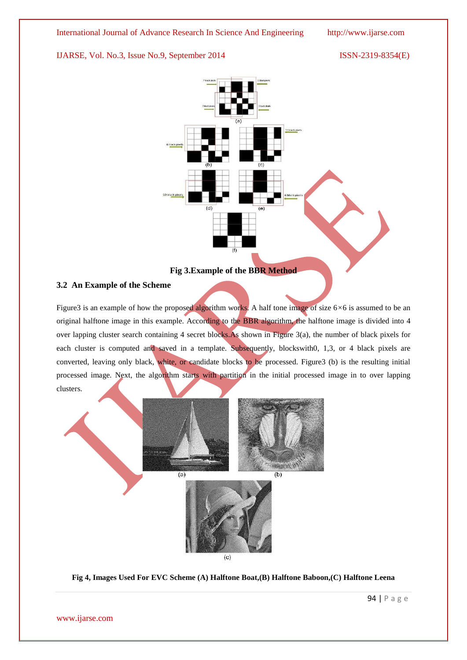

### **Fig 3.Example of the BBR Method**

#### **3.2 An Example of the Scheme**

Figure3 is an example of how the proposed algorithm works. A half tone image of size 6*×*6 is assumed to be an original halftone image in this example. According to the BBR algorithm, the halftone image is divided into 4 over lapping cluster search containing 4 secret blocks. As shown in Figure 3(a), the number of black pixels for each cluster is computed and saved in a template. Subsequently, blockswith0, 1,3, or 4 black pixels are converted, leaving only black, white, or candidate blocks to be processed. Figure3 (b) is the resulting initial processed image. Next, the algorithm starts with partition in the initial processed image in to over lapping clusters.



**Fig 4, Images Used For EVC Scheme (A) Halftone Boat,(B) Halftone Baboon,(C) Halftone Leena**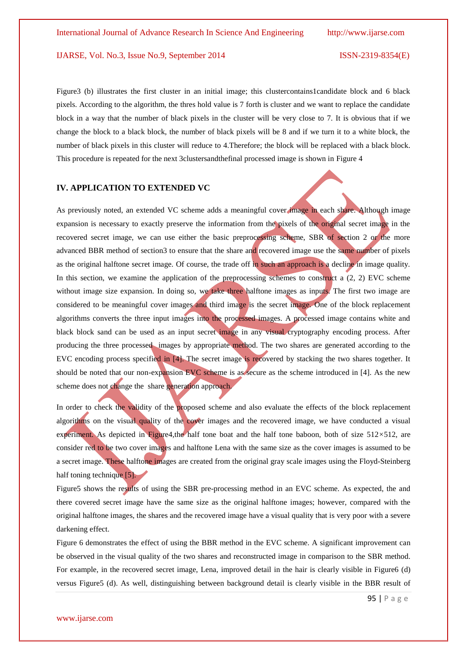Figure3 (b) illustrates the first cluster in an initial image; this clustercontains1candidate block and 6 black pixels. According to the algorithm, the thres hold value is 7 forth is cluster and we want to replace the candidate block in a way that the number of black pixels in the cluster will be very close to 7. It is obvious that if we change the block to a black block, the number of black pixels will be 8 and if we turn it to a white block, the number of black pixels in this cluster will reduce to 4.Therefore; the block will be replaced with a black block. This procedure is repeated for the next 3clustersandthefinal processed image is shown in Figure 4

#### **IV. APPLICATION TO EXTENDED VC**

As previously noted, an extended VC scheme adds a meaningful cover image in each share. Although image expansion is necessary to exactly preserve the information from the pixels of the original secret image in the recovered secret image, we can use either the basic preprocessing scheme, SBR of section 2 or the more advanced BBR method of section3 to ensure that the share and recovered image use the same number of pixels as the original halftone secret image. Of course, the trade off in such an approach is a decline in image quality. In this section, we examine the application of the preprocessing schemes to construct a  $(2, 2)$  EVC scheme without image size expansion. In doing so, we take three halftone images as inputs. The first two image are considered to be meaningful cover images and third image is the secret image. One of the block replacement algorithms converts the three input images into the processed images. A processed image contains white and black block sand can be used as an input secret image in any visual cryptography encoding process. After producing the three processed images by appropriate method. The two shares are generated according to the EVC encoding process specified in [4]. The secret image is recovered by stacking the two shares together. It should be noted that our non-expansion EVC scheme is as secure as the scheme introduced in [4]. As the new scheme does not change the share generation approach.

In order to check the validity of the proposed scheme and also evaluate the effects of the block replacement algorithms on the visual quality of the cover images and the recovered image, we have conducted a visual experiment. As depicted in Figure4,the half tone boat and the half tone baboon, both of size 512×512, are consider red to be two cover images and halftone Lena with the same size as the cover images is assumed to be a secret image. These halftone images are created from the original gray scale images using the Floyd-Steinberg half toning technique [5].

Figure5 shows the results of using the SBR pre-processing method in an EVC scheme. As expected, the and there covered secret image have the same size as the original halftone images; however, compared with the original halftone images, the shares and the recovered image have a visual quality that is very poor with a severe darkening effect.

Figure 6 demonstrates the effect of using the BBR method in the EVC scheme. A significant improvement can be observed in the visual quality of the two shares and reconstructed image in comparison to the SBR method. For example, in the recovered secret image, Lena, improved detail in the hair is clearly visible in Figure6 (d) versus Figure5 (d). As well, distinguishing between background detail is clearly visible in the BBR result of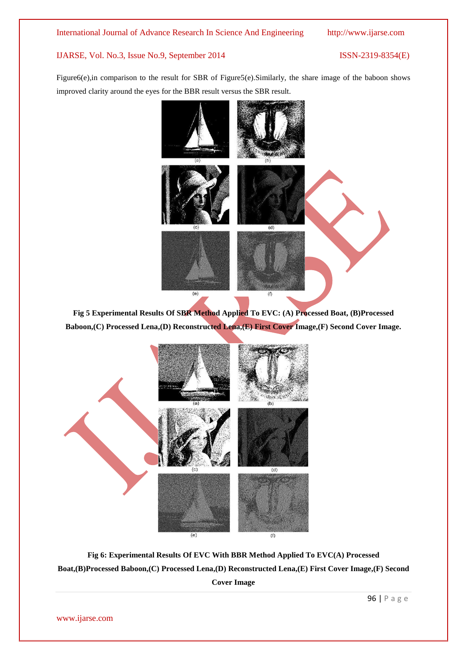Figure6(e),in comparison to the result for SBR of Figure5(e).Similarly, the share image of the baboon shows improved clarity around the eyes for the BBR result versus the SBR result.



**Fig 5 Experimental Results Of SBR Method Applied To EVC: (A) Processed Boat, (B)Processed Baboon,(C) Processed Lena,(D) Reconstructed Lena,(E) First Cover Image,(F) Second Cover Image.**



**Fig 6: Experimental Results Of EVC With BBR Method Applied To EVC(A) Processed Boat,(B)Processed Baboon,(C) Processed Lena,(D) Reconstructed Lena,(E) First Cover Image,(F) Second Cover Image**